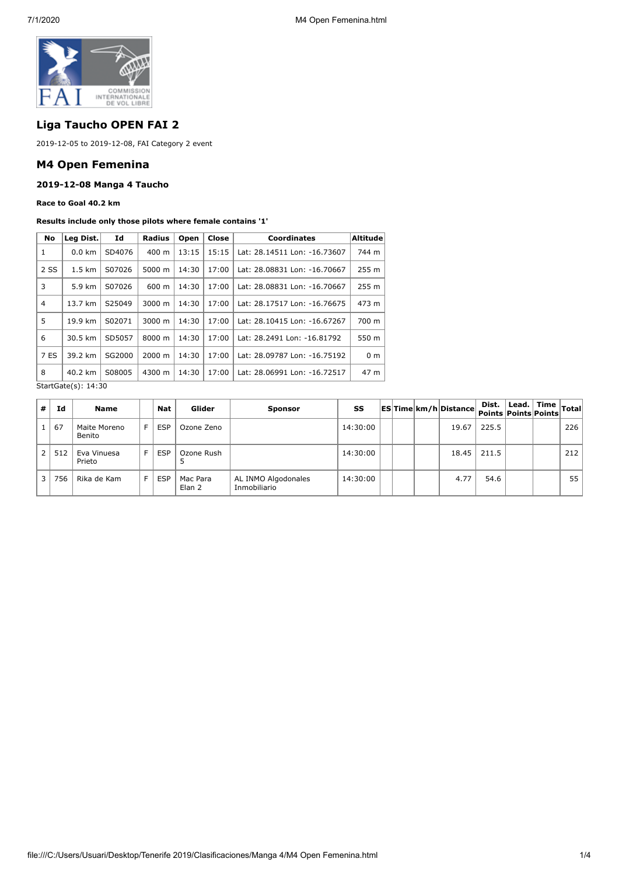

# **Liga Taucho OPEN FAI 2**

2019-12-05 to 2019-12-08, FAI Category 2 event

## **M4 Open Femenina**

### **2019-12-08 Manga 4 Taucho**

**Race to Goal 40.2 km**

#### **Results include only those pilots where female contains '1'**

| No             | Leg Dist.                                                      | Id     | <b>Radius</b> | Open  | Close | <b>Coordinates</b>           | Altitude       |
|----------------|----------------------------------------------------------------|--------|---------------|-------|-------|------------------------------|----------------|
| 1              | $0.0 \text{ km}$                                               | SD4076 | 400 m         | 13:15 | 15:15 | Lat: 28.14511 Lon: -16.73607 | 744 m          |
| 2 SS           | $1.5 \text{ km}$                                               | S07026 | 5000 m        | 14:30 | 17:00 | Lat: 28.08831 Lon: -16.70667 | 255 m          |
| 3              | 5.9 km                                                         | S07026 | 600 m         | 14:30 | 17:00 | Lat: 28.08831 Lon: -16.70667 | 255 m          |
| $\overline{4}$ | 13.7 km                                                        | S25049 | 3000 m        | 14:30 | 17:00 | Lat: 28.17517 Lon: -16.76675 | 473 m          |
| 5              | 19.9 km                                                        | S02071 | 3000 m        | 14:30 | 17:00 | Lat: 28.10415 Lon: -16.67267 | 700 m          |
| 6              | 30.5 km                                                        | SD5057 | 8000 m        | 14:30 | 17:00 | Lat: 28.2491 Lon: -16.81792  | 550 m          |
| 7 ES           | 39.2 km                                                        | SG2000 | 2000 m        | 14:30 | 17:00 | Lat: 28.09787 Lon: -16.75192 | 0 <sub>m</sub> |
| 8              | 40.2 km                                                        | S08005 | 4300 m        | 14:30 | 17:00 | Lat: 28.06991 Lon: -16.72517 | 47 m           |
|                | $C+$ <sub>2</sub> $+$ $C$ <sub>2</sub> $+$ $o$ $(c)$ , $14.30$ |        |               |       |       |                              |                |

StartGate(s): 14:30

| #              | Ιd  | Name                   |     | Nat        | Glider             | <b>Sponsor</b>                      | SS       |  | ES Time km/h Distance | Dist.   Lead.   Time  <br>  Points   Points   Points   Total |  |     |
|----------------|-----|------------------------|-----|------------|--------------------|-------------------------------------|----------|--|-----------------------|--------------------------------------------------------------|--|-----|
|                | 67  | Maite Moreno<br>Benito | F.  | <b>ESP</b> | Ozone Zeno         |                                     | 14:30:00 |  | 19.67                 | 225.5                                                        |  | 226 |
| 2 <sup>1</sup> | 512 | Eva Vinuesa<br>Prieto  | EI  | <b>ESP</b> | Ozone Rush         |                                     | 14:30:00 |  | 18.45                 | 211.5                                                        |  | 212 |
| $\overline{3}$ | 756 | Rika de Kam            | E I | <b>ESP</b> | Mac Para<br>Elan 2 | AL INMO Algodonales<br>Inmobiliario | 14:30:00 |  | 4.77                  | 54.6                                                         |  | 551 |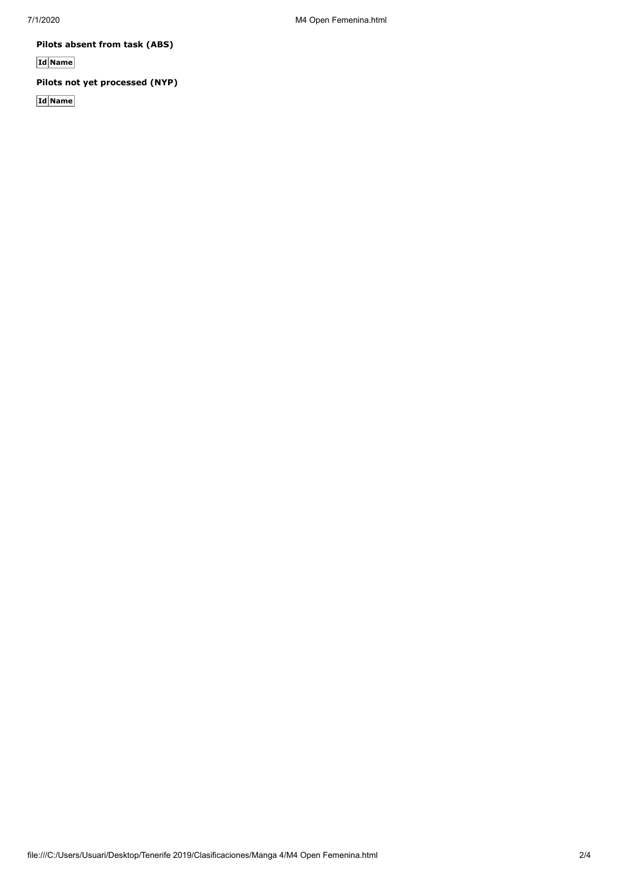**Pilots absent from task (ABS)**

**Id Name**

**Pilots not yet processed (NYP)**

**Id Name**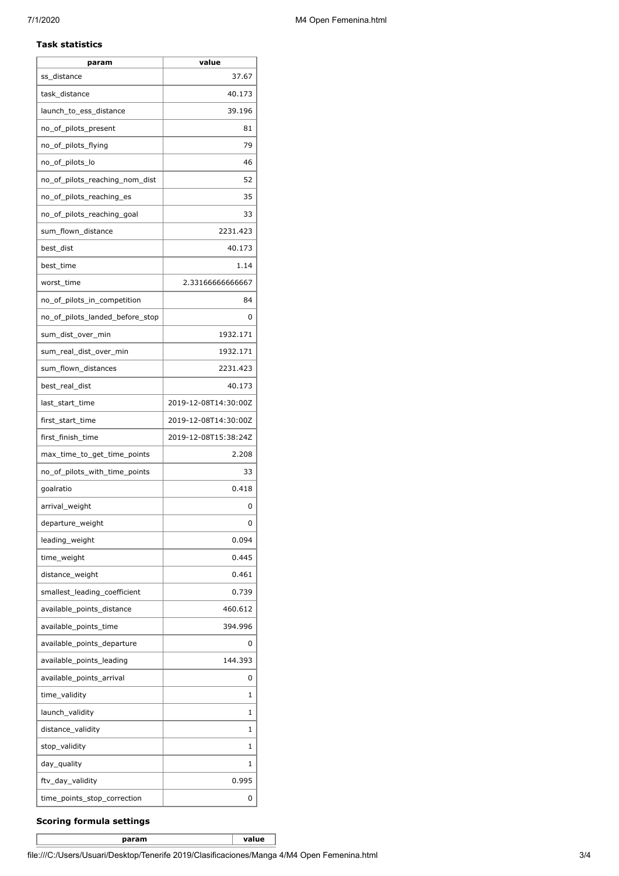#### **Task statistics**

| param                           | value                |
|---------------------------------|----------------------|
| ss_distance                     | 37.67                |
| task_distance                   | 40.173               |
| launch_to_ess_distance          | 39.196               |
| no_of_pilots_present            | 81                   |
| no_of_pilots_flying             | 79                   |
| no_of_pilots_lo                 | 46                   |
| no_of_pilots_reaching_nom_dist  | 52                   |
| no of pilots reaching es        | 35                   |
| no_of_pilots_reaching_goal      | 33                   |
| sum_flown_distance              | 2231.423             |
| best_dist                       | 40.173               |
| best_time                       | 1.14                 |
| worst_time                      | 2.33166666666667     |
| no_of_pilots_in_competition     | 84                   |
| no_of_pilots_landed_before_stop | 0                    |
| sum_dist_over_min               | 1932.171             |
| sum_real_dist_over_min          | 1932.171             |
| sum_flown_distances             | 2231.423             |
| best_real_dist                  | 40.173               |
| last_start_time                 | 2019-12-08T14:30:00Z |
| first_start_time                | 2019-12-08T14:30:00Z |
| first_finish_time               | 2019-12-08T15:38:24Z |
| max_time_to_get_time_points     | 2.208                |
| no_of_pilots_with_time_points   | 33                   |
| goalratio                       | 0.418                |
| arrival_weight                  | 0                    |
| departure_weight                | 0                    |
| leading_weight                  | 0.094                |
| time_weight                     | 0.445                |
| distance_weight                 | 0.461                |
| smallest_leading_coefficient    | 0.739                |
| available_points_distance       | 460.612              |
| available_points_time           | 394.996              |
| available_points_departure      | 0                    |
| available_points_leading        | 144.393              |
| available_points_arrival        | 0                    |
| time_validity                   | 1                    |
| launch_validity                 | 1                    |
| distance_validity               | 1                    |
| stop_validity                   | 1                    |
| day_quality                     | 1                    |
| ftv_day_validity                | 0.995                |
| time_points_stop_correction     | 0                    |

## **Scoring formula settings**

**param value**